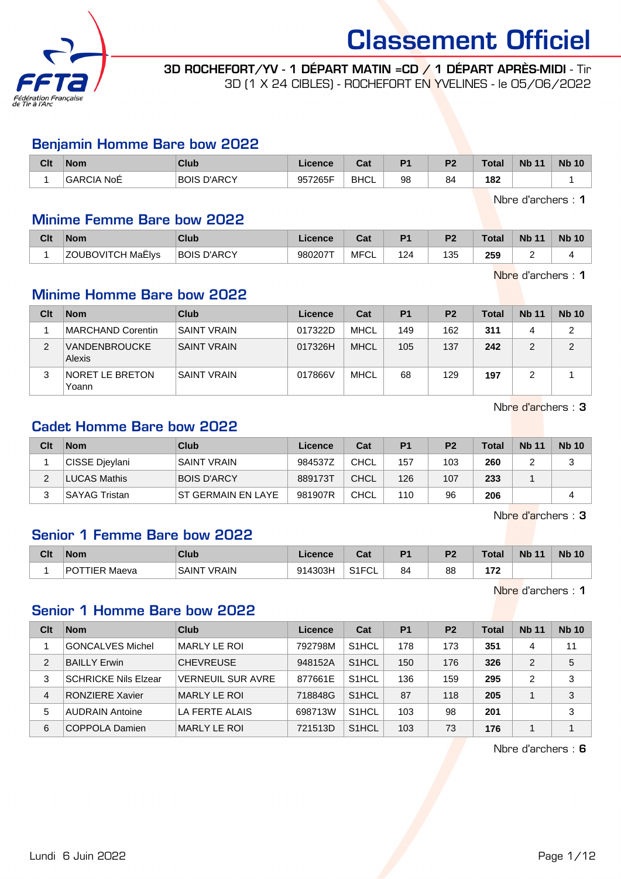

3D ROCHEFORT/YV - 1 DÉPART MATIN =CD / 1 DÉPART APRÈS-MIDI - Tir 3D (1 X 24 CIBLES) - ROCHEFORT EN YVELINES - le 05/06/2022

#### Benjamin Homme Bare bow 2022

| Clt | <b>Nom</b>        | Club                  | Licence | ◠੍៰<br><b>val</b> | D <sub>1</sub> | D0       | Total | <b>N<sub>b</sub></b><br>11 | <b>Nb 10</b> |
|-----|-------------------|-----------------------|---------|-------------------|----------------|----------|-------|----------------------------|--------------|
|     | <b>GARCIA NoE</b> | D'ARCY<br><b>BOIS</b> | 957265F | <b>BHCL</b>       | 98             | σ.<br>84 | 182   |                            |              |

Nbre d'archers : 1

#### Minime Femme Bare bow 2022

| Clt | <b>Nom</b>               | Club               | Licence | ⊍a   | P <sub>1</sub> | P <sub>2</sub> | <b>Total</b> | <b>Nb 11</b> | <b>Nb 10</b> |
|-----|--------------------------|--------------------|---------|------|----------------|----------------|--------------|--------------|--------------|
|     | <b>ZOUBOVITCH MaËlys</b> | <b>BOIS D'ARCY</b> | 980207T | MFCL | 124            | 135            | 259          |              |              |

Nbre d'archers : 1

## Minime Homme Bare bow 2022

| Clt | <b>Nom</b>                      | Club               | Licence | Cat         | P <sub>1</sub> | P <sub>2</sub> | Total | <b>Nb 11</b> | <b>Nb 10</b> |
|-----|---------------------------------|--------------------|---------|-------------|----------------|----------------|-------|--------------|--------------|
|     | MARCHAND Corentin               | <b>SAINT VRAIN</b> | 017322D | MHCL        | 149            | 162            | 311   | Δ            | っ            |
| 2   | <b>VANDENBROUCKE</b><br>Alexis  | <b>SAINT VRAIN</b> | 017326H | <b>MHCL</b> | 105            | 137            | 242   |              | っ            |
| 3   | <b>NORET LE BRETON</b><br>Yoann | <b>SAINT VRAIN</b> | 017866V | MHCL        | 68             | 129            | 197   |              |              |

Nbre d'archers : 3

### Cadet Homme Bare bow 2022

| Clt | <b>Nom</b>           | Club               | Licence | Cat         | P <sub>1</sub> | P <sub>2</sub> | Total | <b>Nb 11</b> | <b>Nb 10</b> |
|-----|----------------------|--------------------|---------|-------------|----------------|----------------|-------|--------------|--------------|
|     | CISSE Djeylani       | <b>SAINT VRAIN</b> | 984537Z | CHCL        | 157            | 103            | 260   |              | ບ            |
|     | <b>LUCAS Mathis</b>  | <b>BOIS D'ARCY</b> | 889173T | CHCL        | 126            | 107            | 233   |              |              |
|     | <b>SAYAG Tristan</b> | ST GERMAIN EN LAYE | 981907R | <b>CHCL</b> | 110            | 96             | 206   |              |              |

Nbre d'archers : 3

#### Senior 1 Femme Bare bow 2022

| Clt | <b>Nom</b>                        | Club                   | Licence | ◠ឹ៶<br>ual          | D4 | n. | Total      | <b>N<sub>b</sub></b><br>11 | <b>Nb 10</b> |
|-----|-----------------------------------|------------------------|---------|---------------------|----|----|------------|----------------------------|--------------|
|     | PO <sub>1</sub><br>TTIFR<br>Maeva | ™ VRAIN<br><b>SAIN</b> | 914303H | $O(10^{-11})$<br>◡∟ | 84 | 88 | ---<br>. . |                            |              |

Nbre d'archers : 1

#### Senior 1 Homme Bare bow 2022

| Clt            | <b>Nom</b>                  | Club                     | Licence | Cat                | <b>P1</b> | P <sub>2</sub> | Total | <b>Nb 11</b> | <b>Nb 10</b> |
|----------------|-----------------------------|--------------------------|---------|--------------------|-----------|----------------|-------|--------------|--------------|
|                | <b>GONCALVES Michel</b>     | MARLY LE ROI             | 792798M | S <sub>1</sub> HCL | 178       | 173            | 351   | 4            | 11           |
| $\overline{2}$ | <b>BAILLY Erwin</b>         | <b>CHEVREUSE</b>         | 948152A | S <sub>1</sub> HCL | 150       | 176            | 326   | 2            | 5            |
| 3              | <b>SCHRICKE Nils Elzear</b> | <b>VERNEUIL SUR AVRE</b> | 877661E | S <sub>1</sub> HCL | 136       | 159            | 295   | 2            | 3            |
| 4              | <b>RONZIERE Xavier</b>      | <b>MARLY LE ROI</b>      | 718848G | S <sub>1</sub> HCL | 87        | 118            | 205   |              | 3            |
| 5              | <b>AUDRAIN Antoine</b>      | LA FERTE ALAIS           | 698713W | S <sub>1</sub> HCL | 103       | 98             | 201   |              | 3            |
| 6              | COPPOLA Damien              | <b>MARLY LE ROI</b>      | 721513D | S <sub>1</sub> HCL | 103       | 73             | 176   |              |              |

Nbre d'archers : 6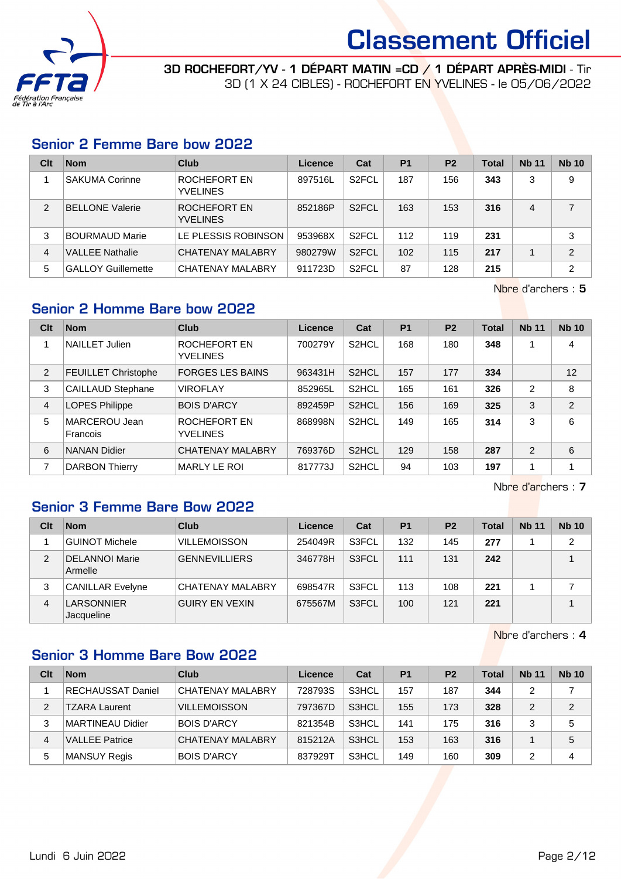

3D ROCHEFORT/YV - 1 DÉPART MATIN =CD / 1 DÉPART APRÈS-MIDI - Tir 3D (1 X 24 CIBLES) - ROCHEFORT EN YVELINES - le 05/06/2022

#### Senior 2 Femme Bare bow 2022

| Clt           | <b>Nom</b>                | Club                            | Licence | Cat                | <b>P1</b> | P <sub>2</sub> | Total | <b>Nb 11</b> | <b>Nb 10</b>   |
|---------------|---------------------------|---------------------------------|---------|--------------------|-----------|----------------|-------|--------------|----------------|
|               | <b>SAKUMA Corinne</b>     | ROCHEFORT EN<br><b>YVELINES</b> | 897516L | S <sub>2</sub> FCL | 187       | 156            | 343   | 3            | 9              |
| $\mathcal{P}$ | <b>BELLONE Valerie</b>    | ROCHEFORT EN<br><b>YVELINES</b> | 852186P | S <sub>2</sub> FCL | 163       | 153            | 316   | 4            | 7              |
| 3             | <b>BOURMAUD Marie</b>     | LE PLESSIS ROBINSON             | 953968X | S <sub>2</sub> FCL | 112       | 119            | 231   |              | 3              |
| 4             | <b>VALLEE Nathalie</b>    | <b>CHATENAY MALABRY</b>         | 980279W | S <sub>2</sub> FCL | 102       | 115            | 217   |              | $\overline{2}$ |
| 5             | <b>GALLOY Guillemette</b> | <b>CHATENAY MALABRY</b>         | 911723D | S <sub>2</sub> FCL | 87        | 128            | 215   |              | $\overline{2}$ |

Nbre d'archers : 5

### Senior 2 Homme Bare bow 2022

| Clt            | <b>Nom</b>                 | Club                            | Licence | Cat                | <b>P1</b> | P <sub>2</sub> | <b>Total</b> | <b>Nb 11</b>   | <b>Nb 10</b>   |
|----------------|----------------------------|---------------------------------|---------|--------------------|-----------|----------------|--------------|----------------|----------------|
|                | <b>NAILLET Julien</b>      | ROCHEFORT EN<br><b>YVELINES</b> | 700279Y | S <sub>2</sub> HCL | 168       | 180            | 348          |                | 4              |
| $\overline{2}$ | <b>FEUILLET Christophe</b> | <b>FORGES LES BAINS</b>         | 963431H | S <sub>2</sub> HCL | 157       | 177            | 334          |                | 12             |
| 3              | <b>CAILLAUD Stephane</b>   | <b>VIROFLAY</b>                 | 852965L | S <sub>2</sub> HCL | 165       | 161            | 326          | $\overline{2}$ | 8              |
| 4              | <b>LOPES Philippe</b>      | <b>BOIS D'ARCY</b>              | 892459P | S <sub>2</sub> HCL | 156       | 169            | 325          | 3              | $\overline{2}$ |
| 5              | MARCEROU Jean<br>Francois  | ROCHEFORT EN<br><b>YVELINES</b> | 868998N | S <sub>2</sub> HCL | 149       | 165            | 314          | 3              | 6              |
| 6              | <b>NANAN Didier</b>        | <b>CHATENAY MALABRY</b>         | 769376D | S <sub>2</sub> HCL | 129       | 158            | 287          | 2              | 6              |
| 7              | <b>DARBON Thierry</b>      | <b>MARLY LE ROI</b>             | 817773J | S <sub>2</sub> HCL | 94        | 103            | 197          |                |                |

Nbre d'archers : 7

## Senior 3 Femme Bare Bow 2022

| Clt | <b>Nom</b>                       | Club                  | Licence | Cat   | P <sub>1</sub> | P <sub>2</sub> | <b>Total</b> | <b>Nb 11</b> | <b>Nb 10</b>   |
|-----|----------------------------------|-----------------------|---------|-------|----------------|----------------|--------------|--------------|----------------|
|     | ∣GUINOT Michele                  | <b>VILLEMOISSON</b>   | 254049R | S3FCL | 132            | 145            | 277          |              | $\overline{2}$ |
| 2   | <b>DELANNOI Marie</b><br>Armelle | <b>GENNEVILLIERS</b>  | 346778H | S3FCL | 111            | 131            | 242          |              |                |
| 3   | <b>CANILLAR Evelyne</b>          | CHATENAY MALABRY      | 698547R | S3FCL | 113            | 108            | 221          |              |                |
| 4   | LARSONNIER<br>Jacqueline         | <b>GUIRY EN VEXIN</b> | 675567M | S3FCL | 100            | 121            | 221          |              |                |

Nbre d'archers : 4

## Senior 3 Homme Bare Bow 2022

| Clt | <b>Nom</b>               | Club                | Licence | Cat                | P <sub>1</sub> | P <sub>2</sub> | <b>Total</b> | <b>Nb 11</b> | <b>Nb 10</b> |
|-----|--------------------------|---------------------|---------|--------------------|----------------|----------------|--------------|--------------|--------------|
|     | <b>RECHAUSSAT Daniel</b> | CHATENAY MALABRY    | 728793S | S3HCL              | 157            | 187            | 344          | 2            |              |
| 2   | TZARA Laurent            | <b>VILLEMOISSON</b> | 797367D | S <sub>3</sub> HCL | 155            | 173            | 328          | 2            | 2            |
| 3   | <b>MARTINEAU Didier</b>  | <b>BOIS D'ARCY</b>  | 821354B | S3HCL              | 141            | 175            | 316          | 3            | 5            |
| 4   | <b>VALLEE Patrice</b>    | CHATENAY MALABRY    | 815212A | S3HCL              | 153            | 163            | 316          |              | 5            |
| 5   | <b>MANSUY Regis</b>      | <b>BOIS D'ARCY</b>  | 837929T | S3HCL              | 149            | 160            | 309          | 2            | 4            |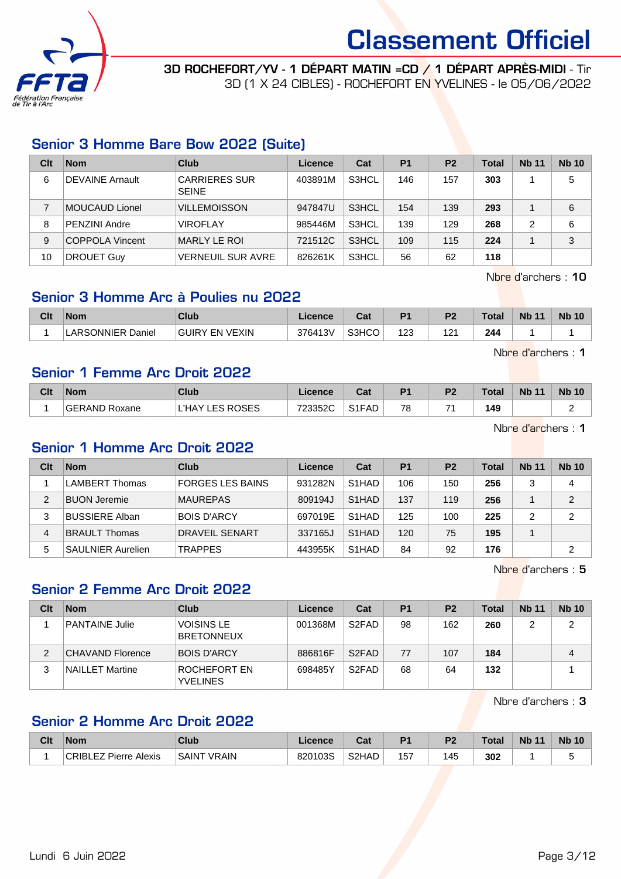

## 3D ROCHEFORT/YV - 1 DÉPART MATIN =CD / 1 DÉPART APRÈS-MIDI - Tir

3D (1 X 24 CIBLES) - ROCHEFORT EN YVELINES - le 05/06/2022

## Senior 3 Homme Bare Bow 2022 (Suite)

| Clt | <b>Nom</b>             | Club                                 | Licence | Cat   | P <sub>1</sub> | P <sub>2</sub> | <b>Total</b> | <b>Nb 11</b> | <b>Nb 10</b> |
|-----|------------------------|--------------------------------------|---------|-------|----------------|----------------|--------------|--------------|--------------|
| 6   | <b>DEVAINE Arnault</b> | <b>CARRIERES SUR</b><br><b>SEINE</b> | 403891M | S3HCL | 146            | 157            | 303          |              | 5            |
|     | MOUCAUD Lionel         | <b>VILLEMOISSON</b>                  | 947847U | S3HCL | 154            | 139            | 293          |              | 6            |
| 8   | PENZINI Andre          | <b>VIROFLAY</b>                      | 985446M | S3HCL | 139            | 129            | 268          | 2            | 6            |
| 9   | COPPOLA Vincent        | MARLY LE ROI                         | 721512C | S3HCL | 109            | 115            | 224          |              | 3            |
| 10  | <b>DROUET Guy</b>      | <b>VERNEUIL SUR AVRE</b>             | 826261K | S3HCL | 56             | 62             | 118          |              |              |

Nbre d'archers : 10

## Senior 3 Homme Arc à Poulies nu 2022

| Clt | <b>Nom</b>                        | Club           | Licence | ∩~∙<br>⊍م | D <sub>1</sub>     | P <sub>2</sub> | Total | <b>Nb 11</b> | <b>Nb 10</b> |
|-----|-----------------------------------|----------------|---------|-----------|--------------------|----------------|-------|--------------|--------------|
|     | LARSONNIER <sup>'</sup><br>Daniel | GUIRY EN VEXIN | 376413V | S3HCO     | 102<br>ں ے ا<br>__ | 1 O 1<br>1 Z.  | 244   |              |              |

Nbre d'archers : 1

#### Senior 1 Femme Arc Droit 2022

| Clt | <b>Nom</b>    | Club                      | Licence | $\sim$<br>ual  | P <sub>1</sub> | D <sub>2</sub> | ™otal | <b>Nb 11</b> | <b>Nb 10</b> |
|-----|---------------|---------------------------|---------|----------------|----------------|----------------|-------|--------------|--------------|
|     | GERAND Roxane | L'HAY<br><b>LES ROSES</b> | 723352C | S1FAD<br>ا ا ب | 78             | $\rightarrow$  | 149   |              | ∽<br>-       |

Nbre d'archers : 1

## Senior 1 Homme Arc Droit 2022

| Clt | <b>Nom</b>               | Club                    | Licence | Cat                | P <sub>1</sub> | <b>P2</b> | Total | <b>Nb 11</b> | <b>Nb 10</b>   |
|-----|--------------------------|-------------------------|---------|--------------------|----------------|-----------|-------|--------------|----------------|
|     | LAMBERT Thomas           | <b>FORGES LES BAINS</b> | 931282N | S <sub>1</sub> HAD | 106            | 150       | 256   | っ            | 4              |
| 2   | <b>BUON Jeremie</b>      | <b>MAUREPAS</b>         | 809194J | S <sub>1</sub> HAD | 137            | 119       | 256   |              | $\mathfrak{p}$ |
| 3   | <b>BUSSIERE Alban</b>    | <b>BOIS D'ARCY</b>      | 697019E | S <sub>1</sub> HAD | 125            | 100       | 225   | ⌒            | 2              |
| 4   | BRAULT Thomas            | <b>DRAVEIL SENART</b>   | 337165J | S <sub>1</sub> HAD | 120            | 75        | 195   |              |                |
| 5   | <b>SAULNIER Aurelien</b> | <b>TRAPPES</b>          | 443955K | S <sub>1</sub> HAD | 84             | 92        | 176   |              | 2              |

Nbre d'archers : 5

## Senior 2 Femme Arc Droit 2022

| Clt | <b>Nom</b>            | Club                                   | Licence | Cat                | P <sub>1</sub> | P <sub>2</sub> | Total | <b>Nb 11</b> | <b>Nb 10</b> |
|-----|-----------------------|----------------------------------------|---------|--------------------|----------------|----------------|-------|--------------|--------------|
|     | <b>PANTAINE Julie</b> | <b>VOISINS LE</b><br><b>BRETONNEUX</b> | 001368M | S <sub>2</sub> FAD | 98             | 162            | 260   |              | 2            |
| 2   | CHAVAND Florence      | <b>BOIS D'ARCY</b>                     | 886816F | S <sub>2</sub> FAD | 77             | 107            | 184   |              | 4            |
| 3   | NAILLET Martine       | ROCHEFORT EN<br><b>YVELINES</b>        | 698485Y | S <sub>2</sub> FAD | 68             | 64             | 132   |              |              |

Nbre d'archers : 3

## Senior 2 Homme Arc Droit 2022

| Clt | <b>Nom</b>                          | <b>Club</b>        | Licence | <b>Both</b><br>⊍a | D <sub>1</sub> | P <sub>2</sub> | <b>Total</b> | <b>Nb 11</b> | <b>Nb 10</b> |
|-----|-------------------------------------|--------------------|---------|-------------------|----------------|----------------|--------------|--------------|--------------|
|     | CRIBI<br>Pierre Alexis<br><b>E7</b> | <b>SAINT VRAIN</b> | 820103S | S2HAD             | 157            | 45ء            | 302          |              | ۰.           |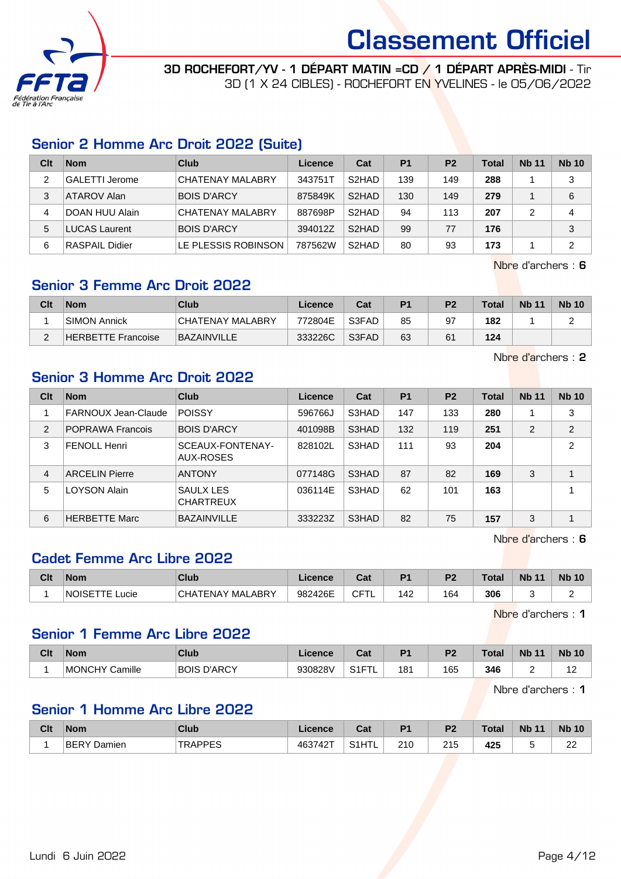

3D ROCHEFORT/YV - 1 DÉPART MATIN =CD / 1 DÉPART APRÈS-MIDI - Tir 3D (1 X 24 CIBLES) - ROCHEFORT EN YVELINES - le 05/06/2022

## Senior 2 Homme Arc Droit 2022 (Suite)

| Clt | <b>Nom</b>            | Club                | Licence | Cat                | P <sub>1</sub> | P <sub>2</sub> | <b>Total</b> | <b>Nb 11</b> | <b>Nb 10</b> |
|-----|-----------------------|---------------------|---------|--------------------|----------------|----------------|--------------|--------------|--------------|
|     | <b>GALETTI</b> Jerome | CHATENAY MALABRY    | 343751T | S <sub>2</sub> HAD | 139            | 149            | 288          |              | 3            |
| 3   | ATAROV Alan           | <b>BOIS D'ARCY</b>  | 875849K | S <sub>2</sub> HAD | 130            | 149            | 279          |              | 6            |
| 4   | DOAN HUU Alain        | CHATENAY MALABRY    | 887698P | S2HAD              | 94             | 113            | 207          |              | 4            |
| 5   | <b>LUCAS Laurent</b>  | <b>BOIS D'ARCY</b>  | 394012Z | S <sub>2</sub> HAD | 99             | 77             | 176          |              | 3            |
| 6   | <b>RASPAIL Didier</b> | LE PLESSIS ROBINSON | 787562W | S <sub>2</sub> HAD | 80             | 93             | 173          |              | 2            |

Nbre d'archers : 6

## Senior 3 Femme Arc Droit 2022

| Clt    | <b>Nom</b>          | Club                    | Licence | Cat   | P <sub>1</sub> | P <sub>2</sub> | <b>Total</b> | <b>Nb 11</b> | <b>Nb 10</b> |
|--------|---------------------|-------------------------|---------|-------|----------------|----------------|--------------|--------------|--------------|
|        | <b>SIMON Annick</b> | <b>CHATENAY MALABRY</b> | 772804E | S3FAD | 85             | 97             | 182          |              |              |
| $\sim$ | HERBETTE Francoise  | BAZAINVILLE             | 333226C | S3FAD | 63             | 61             | 124          |              |              |

Nbre d'archers : 2

## Senior 3 Homme Arc Droit 2022

| Clt            | <b>Nom</b>              | Club                          | Licence | Cat   | P <sub>1</sub> | <b>P2</b> | <b>Total</b> | <b>Nb 11</b> | <b>Nb 10</b>               |
|----------------|-------------------------|-------------------------------|---------|-------|----------------|-----------|--------------|--------------|----------------------------|
|                | FARNOUX Jean-Claude     | <b>POISSY</b>                 | 596766J | S3HAD | 147            | 133       | 280          |              | 3                          |
| 2              | <b>POPRAWA Francois</b> | <b>BOIS D'ARCY</b>            | 401098B | S3HAD | 132            | 119       | 251          | 2            | 2                          |
| 3              | <b>FENOLL Henri</b>     | SCEAUX-FONTENAY-<br>AUX-ROSES | 828102L | S3HAD | 111            | 93        | 204          |              | $\overline{2}$             |
| $\overline{4}$ | <b>ARCELIN Pierre</b>   | <b>ANTONY</b>                 | 077148G | S3HAD | 87             | 82        | 169          | 3            |                            |
| 5              | LOYSON Alain            | SAULX LES<br><b>CHARTREUX</b> | 036114E | S3HAD | 62             | 101       | 163          |              |                            |
| 6              | <b>HERBETTE Marc</b>    | <b>BAZAINVILLE</b>            | 333223Z | S3HAD | 82             | 75        | 157          | 3            | $\boldsymbol{\mathcal{A}}$ |

Nbre d'archers : 6

## Cadet Femme Arc Libre 2022

| Clt | <b>Nom</b>                    | Club                               | Licence | <b>That</b><br>⊍a | D <sub>4</sub> | D <sub>0</sub> | Total | <b>Nb</b><br>$\overline{A}$ | <b>Nb 10</b> |
|-----|-------------------------------|------------------------------------|---------|-------------------|----------------|----------------|-------|-----------------------------|--------------|
|     | ucie<br><b>NOISE</b><br>1 L . | <b>FENAY MALABRY</b><br><b>CHA</b> | 982426E | ∩⊏⊤<br>◡          | 142            | 164            | 306   |                             | -            |

Nbre d'archers : 1

#### Senior 1 Femme Arc Libre 2022

| Clt | Nom               | Club                  | Licence | <b>Take</b><br>ual        | D4  | ng. | $\tau$ otal | <b>N<sub>b</sub></b><br>11 | <b>Nb 10</b>                 |
|-----|-------------------|-----------------------|---------|---------------------------|-----|-----|-------------|----------------------------|------------------------------|
|     | Camille<br>MONCHY | D'ARCY<br><b>BOIS</b> | 930828V | $\sim$ $-$<br>ا ا ب<br>-- | 181 | 165 | 346         | -                          | $\overline{a}$<br>. <u>.</u> |

Nbre d'archers : 1

## Senior 1 Homme Arc Libre 2022

| Clt | <b>Nom</b>            | <b>Club</b>            | Licence | ن م<br>uai               | D <sub>4</sub> | פם  | <b>Total</b> | <b>Nb</b><br>$-11$ | <b>Nb 10</b>         |
|-----|-----------------------|------------------------|---------|--------------------------|----------------|-----|--------------|--------------------|----------------------|
|     | <b>BERY</b><br>Damien | TRADDES<br>. V V<br>-- | 463742⊤ | பாட<br>0.41<br>۱۱ ت<br>. | 210            | 215 | 425          |                    | $\sim$<br>$\epsilon$ |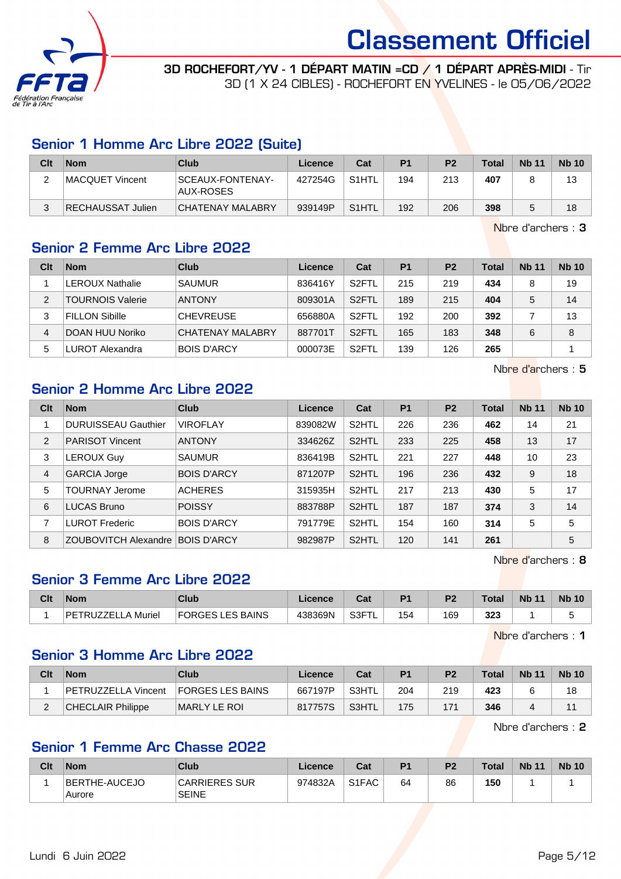

3D ROCHEFORT/YV - 1 DÉPART MATIN =CD / 1 DÉPART APRÈS-MIDI - Tir 3D (1 X 24 CIBLES) - ROCHEFORT EN YVELINES - le 05/06/2022

### Senior 1 Homme Arc Libre 2022 (Suite)

| Clt | <b>Nom</b>        | Club                          | Licence | Cat                | P <sub>1</sub> | P <sub>2</sub> | <b>Total</b> | <b>Nb 11</b> | <b>Nb 10</b> |
|-----|-------------------|-------------------------------|---------|--------------------|----------------|----------------|--------------|--------------|--------------|
|     | MACQUET Vincent   | SCEAUX-FONTENAY-<br>AUX-ROSES | 427254G | S1HTL              | 194            | 213            | 407          |              | 13           |
|     | RECHAUSSAT Julien | CHATENAY MALABRY              | 939149P | S <sub>1</sub> HTL | 192            | 206            | 398          |              | 18           |

Nbre d'archers : 3

## Senior 2 Femme Arc Libre 2022

| Clt | <b>Nom</b>              | Club               | Licence | Cat                | P <sub>1</sub> | P <sub>2</sub> | <b>Total</b> | <b>Nb 11</b> | <b>Nb 10</b> |
|-----|-------------------------|--------------------|---------|--------------------|----------------|----------------|--------------|--------------|--------------|
|     | <b>LEROUX Nathalie</b>  | <b>SAUMUR</b>      | 836416Y | S <sub>2</sub> FTL | 215            | 219            | 434          | 8            | 19           |
| 2   | <b>TOURNOIS Valerie</b> | <b>ANTONY</b>      | 809301A | S <sub>2</sub> FTL | 189            | 215            | 404          | 5            | 14           |
| 3   | <b>FILLON Sibille</b>   | <b>CHEVREUSE</b>   | 656880A | S <sub>2</sub> FTL | 192            | 200            | 392          |              | 13           |
| 4   | DOAN HUU Noriko         | CHATENAY MALABRY   | 887701T | S <sub>2</sub> FTL | 165            | 183            | 348          | 6            | 8            |
| 5   | LUROT Alexandra         | <b>BOIS D'ARCY</b> | 000073E | S <sub>2</sub> FTL | 139            | 126            | 265          |              |              |

Nbre d'archers : 5

### Senior 2 Homme Arc Libre 2022

| Clt            | <b>Nom</b>                       | Club               | Licence | Cat                | P <sub>1</sub> | P <sub>2</sub> | <b>Total</b> | <b>Nb 11</b> | <b>Nb 10</b> |
|----------------|----------------------------------|--------------------|---------|--------------------|----------------|----------------|--------------|--------------|--------------|
|                | <b>DURUISSEAU Gauthier</b>       | <b>VIROFLAY</b>    | 839082W | S <sub>2</sub> HTL | 226            | 236            | 462          | 14           | 21           |
| $\overline{2}$ | <b>PARISOT Vincent</b>           | <b>ANTONY</b>      | 334626Z | S <sub>2</sub> HTL | 233            | 225            | 458          | 13           | 17           |
| 3              | LEROUX Guy                       | <b>SAUMUR</b>      | 836419B | S <sub>2</sub> HTL | 221            | 227            | 448          | 10           | 23           |
| 4              | <b>GARCIA Jorge</b>              | <b>BOIS D'ARCY</b> | 871207P | S <sub>2</sub> HTL | 196            | 236            | 432          | 9            | 18           |
| 5              | <b>TOURNAY Jerome</b>            | <b>ACHERES</b>     | 315935H | S <sub>2</sub> HTL | 217            | 213            | 430          | 5            | 17           |
| 6              | <b>LUCAS Bruno</b>               | <b>POISSY</b>      | 883788P | S <sub>2</sub> HTL | 187            | 187            | 374          | 3            | 14           |
| 7              | <b>LUROT Frederic</b>            | <b>BOIS D'ARCY</b> | 791779E | S <sub>2</sub> HTL | 154            | 160            | 314          | 5            | 5            |
| 8              | ZOUBOVITCH Alexandre BOIS D'ARCY |                    | 982987P | S <sub>2</sub> HTL | 120            | 141            | 261          |              | 5            |

Nbre d'archers : 8

## Senior 3 Femme Arc Libre 2022

| Clt | <b>Nom</b>                 | Club                         | Licence | <b>Both</b><br>uai | D <sub>1</sub> | D <sub>2</sub> | $\tau$ otal | <b>Nb</b><br>$\overline{A}$ | <b>Nb 10</b> |
|-----|----------------------------|------------------------------|---------|--------------------|----------------|----------------|-------------|-----------------------------|--------------|
|     | TRUZZEL<br>∟A Muriel<br>DE | <b>FORGES L</b><br>LES BAINS | 438369N | , S3FT             | 154            | 169            | 323         |                             |              |

Nbre d'archers : 1

#### Senior 3 Homme Arc Libre 2022

| Clt | <b>Nom</b>          | Club                    | ∟icence | Cat    | P <sub>1</sub> | P <sub>2</sub> | <b>Total</b> | <b>Nb 11</b> | <b>Nb 10</b> |
|-----|---------------------|-------------------------|---------|--------|----------------|----------------|--------------|--------------|--------------|
|     | PETRUZZELLA Vincent | <b>FORGES LES BAINS</b> | 667197P | S3HTL  | 204            | 219            | 423          |              | 18           |
|     | CHECLAIR Philippe   | IMARLY LE ROI           | 817757S | ≒S3HTL | 175            | 171            | 346          |              |              |

Nbre d'archers : 2

### Senior 1 Femme Arc Chasse 2022

| Clt | Nom                     | Club                          | Licence | Cat                            | P <sub>1</sub> | P2 | <b>Total</b> | <b>Nb 11</b> | <b>Nb 10</b> |
|-----|-------------------------|-------------------------------|---------|--------------------------------|----------------|----|--------------|--------------|--------------|
|     | BERTHE-AUCEJO<br>Aurore | CARRIERES SUR<br><b>SEINE</b> | 974832A | S <sub>1</sub> F <sub>AC</sub> | 64             | 86 | 150          |              |              |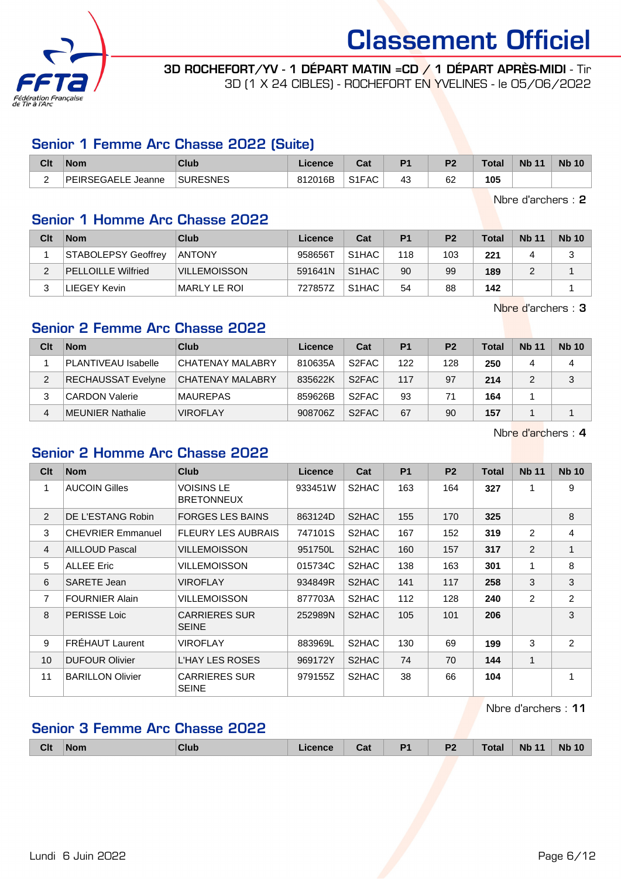

3D ROCHEFORT/YV - 1 DÉPART MATIN =CD / 1 DÉPART APRÈS-MIDI - Tir 3D (1 X 24 CIBLES) - ROCHEFORT EN YVELINES - le 05/06/2022

### Senior 1 Femme Arc Chasse 2022 (Suite)

| Clt           | <b>Nom</b>         | Club            | Licence | <b>The State of Street</b><br>val | D <sub>4</sub> | n.       | $\tau$ otal | <b>Nb 11</b> | <b>Nb 10</b> |
|---------------|--------------------|-----------------|---------|-----------------------------------|----------------|----------|-------------|--------------|--------------|
| ⌒<br><u>.</u> | PEIRSEGAELE Jeanne | <b>SURESNES</b> | 812016B | S <sub>1</sub> FAC                | 43             | r r<br>פ | 105         |              |              |

Nbre d'archers : 2

## Senior 1 Homme Arc Chasse 2022

| Clt | <b>Nom</b>                | <b>Club</b>         | Licence | Cat                | P <sub>1</sub> | P <sub>2</sub> | <b>Total</b> | <b>Nb 11</b> | <b>Nb 10</b> |
|-----|---------------------------|---------------------|---------|--------------------|----------------|----------------|--------------|--------------|--------------|
|     | STABOLEPSY Geoffrey       | <b>ANTONY</b>       | 958656T | S <sub>1</sub> HAC | 118            | 103            | 221          |              |              |
|     | <b>PELLOILLE Wilfried</b> | <b>VILLEMOISSON</b> | 591641N | S <sub>1</sub> HAC | 90             | 99             | 189          |              |              |
| ົ   | LIEGEY Kevin              | MARLY LE ROI        | 727857Z | S <sub>1</sub> HAC | 54             | 88             | 142          |              |              |

Nbre d'archers : 3

### Senior 2 Femme Arc Chasse 2022

| Clt | <b>Nom</b>                 | Club                    | Licence | Cat                | P <sub>1</sub> | P <sub>2</sub> | Total | <b>Nb 11</b> | <b>Nb 10</b> |
|-----|----------------------------|-------------------------|---------|--------------------|----------------|----------------|-------|--------------|--------------|
|     | <b>PLANTIVEAU Isabelle</b> | CHATENAY MALABRY        | 810635A | S <sub>2</sub> FAC | 122            | 128            | 250   |              | 4            |
|     | <b>RECHAUSSAT Evelyne</b>  | <b>CHATENAY MALABRY</b> | 835622K | S <sub>2</sub> FAC | 117            | 97             | 214   |              | 3            |
|     | <b>CARDON Valerie</b>      | <b>MAUREPAS</b>         | 859626B | S <sub>2</sub> FAC | 93             | 71             | 164   |              |              |
| 4   | MEUNIER Nathalie           | <b>VIROFLAY</b>         | 908706Z | S <sub>2</sub> FAC | 67             | 90             | 157   |              |              |

Nbre d'archers : 4

## Senior 2 Homme Arc Chasse 2022

| Clt            | <b>Nom</b>               | <b>Club</b>                          | <b>Licence</b> | Cat   | <b>P1</b> | P <sub>2</sub> | <b>Total</b> | <b>Nb 11</b>   | <b>Nb 10</b>   |
|----------------|--------------------------|--------------------------------------|----------------|-------|-----------|----------------|--------------|----------------|----------------|
| $\mathbf{1}$   | <b>AUCOIN Gilles</b>     | VOISINS LE<br><b>BRETONNEUX</b>      | 933451W        | S2HAC | 163       | 164            | 327          |                | 9              |
| 2              | DE L'ESTANG Robin        | <b>FORGES LES BAINS</b>              | 863124D        | S2HAC | 155       | 170            | 325          |                | 8              |
| 3              | <b>CHEVRIER Emmanuel</b> | <b>FLEURY LES AUBRAIS</b>            | 747101S        | S2HAC | 167       | 152            | 319          | 2              | 4              |
| $\overline{4}$ | <b>AILLOUD Pascal</b>    | VILLEMOISSON                         | 951750L        | S2HAC | 160       | 157            | 317          | $\overline{2}$ | 1              |
| 5              | <b>ALLEE Eric</b>        | VILLEMOISSON                         | 015734C        | S2HAC | 138       | 163            | 301          | 1              | 8              |
| 6              | <b>SARETE Jean</b>       | VIROFLAY                             | 934849R        | S2HAC | 141       | 117            | 258          | 3              | 3              |
| $\overline{7}$ | <b>FOURNIER Alain</b>    | VILLEMOISSON                         | 877703A        | S2HAC | 112       | 128            | 240          | 2              | $\overline{2}$ |
| 8              | <b>PERISSE Loic</b>      | <b>CARRIERES SUR</b><br><b>SEINE</b> | 252989N        | S2HAC | 105       | 101            | 206          |                | 3              |
| 9              | <b>FREHAUT Laurent</b>   | VIROFLAY                             | 883969L        | S2HAC | 130       | 69             | 199          | 3              | $\overline{2}$ |
| 10             | <b>DUFOUR Olivier</b>    | L'HAY LES ROSES                      | 969172Y        | S2HAC | 74        | 70             | 144          | 1              |                |
| 11             | <b>BARILLON Olivier</b>  | <b>CARRIERES SUR</b><br><b>SEINE</b> | 979155Z        | S2HAC | 38        | 66             | 104          |                | 1              |

Nbre d'archers : 11

### Senior 3 Femme Arc Chasse 2022

|  | Clt | <b>Nom</b> | Club | icence | ີາ<br>ual | D <sub>1</sub><br>and the property of | D <sub>2</sub><br>. . | <b>Total</b> | <b>Nb</b><br>$-11$ | <b>Nb</b><br>10 |
|--|-----|------------|------|--------|-----------|---------------------------------------|-----------------------|--------------|--------------------|-----------------|
|--|-----|------------|------|--------|-----------|---------------------------------------|-----------------------|--------------|--------------------|-----------------|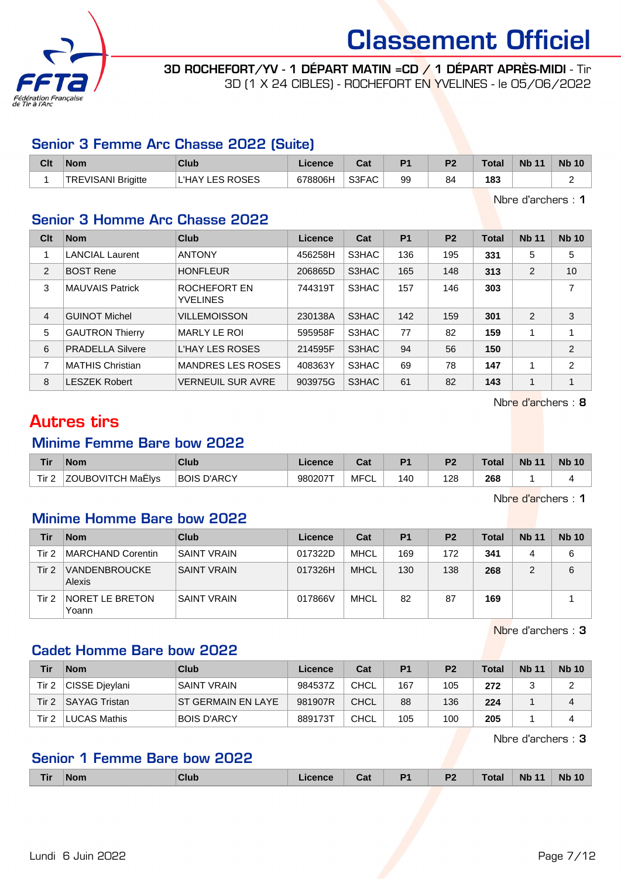

3D ROCHEFORT/YV - 1 DÉPART MATIN =CD / 1 DÉPART APRÈS-MIDI - Tir 3D (1 X 24 CIBLES) - ROCHEFORT EN YVELINES - le 05/06/2022

#### Senior 3 Femme Arc Chasse 2022 (Suite)

| Clt | <b>Nom</b>          | Club                     | Licence | יה<br>⊍م | D <sub>1</sub> | P <sub>2</sub> | Total | <b>Nb 11</b> | <b>Nb 10</b> |
|-----|---------------------|--------------------------|---------|----------|----------------|----------------|-------|--------------|--------------|
|     | 'TREVISANI Brigitte | <b>LES ROSES</b><br>'HAY | 678806H | S3FAC    | 99             | 84             | 183   |              |              |

Nbre d'archers : 1

## Senior 3 Homme Arc Chasse 2022

| Clt            | <b>Nom</b>              | <b>Club</b>                     | Licence | Cat   | <b>P1</b> | P <sub>2</sub> | <b>Total</b> | <b>Nb 11</b>   | <b>Nb 10</b>   |
|----------------|-------------------------|---------------------------------|---------|-------|-----------|----------------|--------------|----------------|----------------|
|                | <b>LANCIAL Laurent</b>  | <b>ANTONY</b>                   | 456258H | S3HAC | 136       | 195            | 331          | 5              | 5              |
| 2              | <b>BOST Rene</b>        | <b>HONFLEUR</b>                 | 206865D | S3HAC | 165       | 148            | 313          | 2              | 10             |
| 3              | <b>MAUVAIS Patrick</b>  | ROCHEFORT EN<br><b>YVELINES</b> | 744319T | S3HAC | 157       | 146            | 303          |                | 7              |
| $\overline{4}$ | <b>GUINOT Michel</b>    | <b>VILLEMOISSON</b>             | 230138A | S3HAC | 142       | 159            | 301          | $\overline{2}$ | 3              |
| 5              | <b>GAUTRON Thierry</b>  | MARLY LE ROI                    | 595958F | S3HAC | 77        | 82             | 159          |                | 4              |
| 6              | <b>PRADELLA Silvere</b> | <b>L'HAY LES ROSES</b>          | 214595F | S3HAC | 94        | 56             | 150          |                | $\overline{2}$ |
| 7              | <b>MATHIS Christian</b> | <b>MANDRES LES ROSES</b>        | 408363Y | S3HAC | 69        | 78             | 147          | 4              | $\overline{2}$ |
| 8              | <b>LESZEK Robert</b>    | <b>VERNEUIL SUR AVRE</b>        | 903975G | S3HAC | 61        | 82             | 143          | 4              | 1              |

Nbre d'archers : 8

## Autres tirs

#### Minime Femme Bare bow 2022

| Tir   | Nom               | Club               | Licence | <b>Dol</b> | D <sub>1</sub> | P <sub>2</sub> | <b>Total</b> | <b>Nb 11</b> | <b>Nb 10</b> |
|-------|-------------------|--------------------|---------|------------|----------------|----------------|--------------|--------------|--------------|
| Tir 2 | ZOUBOVITCH MaËlys | <b>BOIS D'ARCY</b> | 980207T | MFCL       | 140            | 128            | 268          |              |              |

Nbre d'archers : 1

#### Minime Homme Bare bow 2022

| Tir   | <b>Nom</b>                     | Club               | Licence | Cat  | P <sub>1</sub> | P <sub>2</sub> | Total | <b>Nb 11</b> | <b>Nb 10</b> |
|-------|--------------------------------|--------------------|---------|------|----------------|----------------|-------|--------------|--------------|
| Tir 2 | MARCHAND Corentin              | <b>SAINT VRAIN</b> | 017322D | MHCL | 169            | 172            | 341   |              | 6            |
| Tir 2 | <b>VANDENBROUCKE</b><br>Alexis | <b>SAINT VRAIN</b> | 017326H | MHCL | 130            | 138            | 268   |              | 6            |
| Tir 2 | NORET LE BRETON<br>Yoann       | <b>SAINT VRAIN</b> | 017866V | MHCL | 82             | 87             | 169   |              |              |

Nbre d'archers : 3

## Cadet Homme Bare bow 2022

| Tir   | <b>Nom</b>           | Club                      | Licence | Cat         | P <sub>1</sub> | P <sub>2</sub> | <b>Total</b> | <b>Nb 11</b> | <b>Nb 10</b> |
|-------|----------------------|---------------------------|---------|-------------|----------------|----------------|--------------|--------------|--------------|
| Tir 2 | CISSE Dievlani       | <b>SAINT VRAIN</b>        | 984537Z | CHCL        | 167            | 105            | 272          |              |              |
| Tir 2 | <b>SAYAG Tristan</b> | <b>ST GERMAIN EN LAYE</b> | 981907R | <b>CHCL</b> | 88             | 136            | 224          |              |              |
| Tir 2 | LUCAS Mathis         | <b>BOIS D'ARCY</b>        | 889173T | <b>CHCL</b> | 105            | 100            | 205          |              |              |

Nbre d'archers : 3

## Senior 1 Femme Bare bow 2022

|  | Пr | $\blacksquare$ Nor | Club |  | Cat | <b>The State State</b> | D <sub>2</sub><br>. . |  | <b>N<sub>b</sub></b> | <b>Nb</b><br>10 |
|--|----|--------------------|------|--|-----|------------------------|-----------------------|--|----------------------|-----------------|
|--|----|--------------------|------|--|-----|------------------------|-----------------------|--|----------------------|-----------------|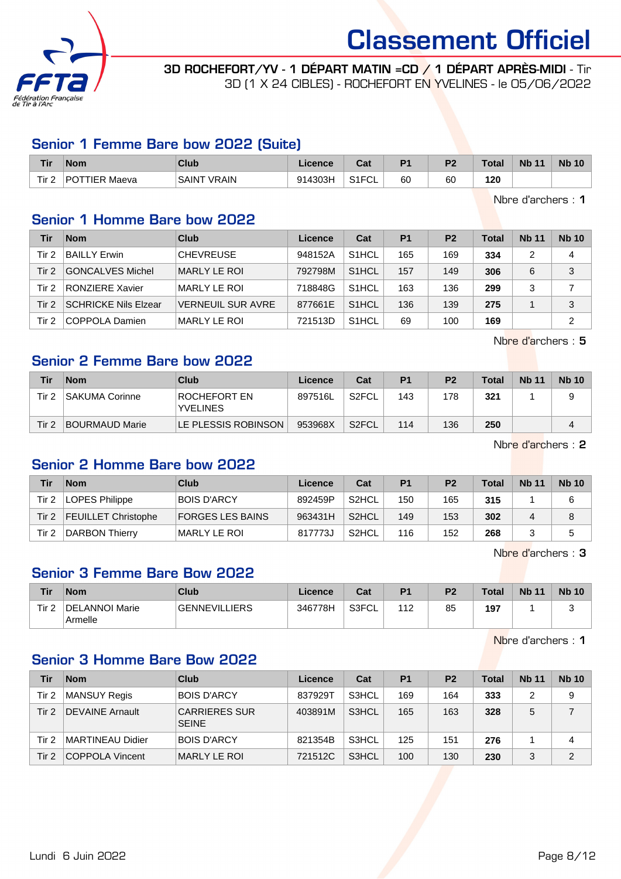

3D ROCHEFORT/YV - 1 DÉPART MATIN =CD / 1 DÉPART APRÈS-MIDI - Tir 3D (1 X 24 CIBLES) - ROCHEFORT EN YVELINES - le 05/06/2022

#### Senior 1 Femme Bare bow 2022 (Suite)

| <u>Tir</u> | <b>Nom</b>    | Club               | Licence | ົີີ່<br>uai           | D <sub>4</sub> | D <sub>2</sub> | <b>Total</b> | <b>Nb 11</b> | <b>Nb 10</b> |
|------------|---------------|--------------------|---------|-----------------------|----------------|----------------|--------------|--------------|--------------|
| Tir 2      | POTTIER Maeva | <b>SAINT VRAIN</b> | 914303H | S1FCI<br>∙∪L<br>ا ا ت | 60             | 60             | 120          |              |              |

Nbre d'archers : 1

### Senior 1 Homme Bare bow 2022

| Tir   | <b>Nom</b>                  | Club                     | Licence | Cat                | P1  | P <sub>2</sub> | <b>Total</b> | <b>Nb 11</b> | <b>Nb 10</b> |
|-------|-----------------------------|--------------------------|---------|--------------------|-----|----------------|--------------|--------------|--------------|
| Tir 2 | <b>BAILLY Erwin</b>         | <b>CHEVREUSE</b>         | 948152A | S <sub>1</sub> HCL | 165 | 169            | 334          |              | 4            |
| Tir 2 | <b>GONCALVES Michel</b>     | MARLY LE ROI             | 792798M | S <sub>1</sub> HCL | 157 | 149            | 306          | 6            | 3            |
| Tir 2 | <b>RONZIERE Xavier</b>      | <b>MARLY LE ROI</b>      | 718848G | S <sub>1</sub> HCL | 163 | 136            | 299          |              |              |
| Tir 2 | <b>SCHRICKE Nils Elzear</b> | <b>VERNEUIL SUR AVRE</b> | 877661E | S <sub>1</sub> HCL | 136 | 139            | 275          |              | 3            |
| Tir 2 | COPPOLA Damien              | MARLY LE ROI             | 721513D | S <sub>1</sub> HCL | 69  | 100            | 169          |              | 2            |

Nbre d'archers : 5

## Senior 2 Femme Bare bow 2022

| Tir   | <b>Nom</b>            | Club                                   | Licence | Cat                | P <sub>1</sub> | P <sub>2</sub> | <b>Total</b> | <b>Nb 11</b> | <b>Nb 10</b> |
|-------|-----------------------|----------------------------------------|---------|--------------------|----------------|----------------|--------------|--------------|--------------|
| Tir 2 | <b>SAKUMA Corinne</b> | <b>ROCHEFORT EN</b><br><b>YVELINES</b> | 897516L | S2FCL              | 143            | 178            | 321          |              |              |
| Tir 2 | <b>BOURMAUD Marie</b> | LE PLESSIS ROBINSON                    | 953968X | S <sub>2</sub> FCL | 114            | 136            | 250          |              |              |

Nbre d'archers : 2

#### Senior 2 Homme Bare bow 2022

| Tir   | <b>Nom</b>                 | Club                    | Licence | Cat                | P <sub>1</sub> | P <sub>2</sub> | Total | <b>Nb 11</b> | <b>Nb 10</b> |
|-------|----------------------------|-------------------------|---------|--------------------|----------------|----------------|-------|--------------|--------------|
| Tir 2 | LOPES Philippe             | <b>BOIS D'ARCY</b>      | 892459P | S <sub>2</sub> HCL | 150            | 165            | 315   |              | 6            |
| Tir 2 | <b>FEUILLET Christophe</b> | <b>FORGES LES BAINS</b> | 963431H | S2HCL              | 149            | 153            | 302   |              | 8            |
| Tir 2 | DARBON Thierry             | <b>MARLY LE ROI</b>     | 817773J | S2HCL              | 116            | 152            | 268   |              | 5            |

Nbre d'archers : 3

### Senior 3 Femme Bare Bow 2022

| Tir   | <b>Nom</b>                | Club                 | Licence | Cat   | P <sub>1</sub> | P <sub>2</sub> | Total | <b>Nb 11</b> | <b>Nb 10</b> |
|-------|---------------------------|----------------------|---------|-------|----------------|----------------|-------|--------------|--------------|
| Tir 2 | DELANNOI Marie<br>Armelle | <b>GENNEVILLIERS</b> | 346778H | S3FCL | $11^\circ$     | 85             | 197   |              |              |

Nbre d'archers : 1

#### Senior 3 Homme Bare Bow 2022

| Tir              | <b>Nom</b>              | Club                                 | Licence | Cat                | P <sub>1</sub> | P <sub>2</sub> | <b>Total</b> | <b>Nb 11</b> | <b>Nb 10</b>   |
|------------------|-------------------------|--------------------------------------|---------|--------------------|----------------|----------------|--------------|--------------|----------------|
| Tir 2            | <b>MANSUY Regis</b>     | <b>BOIS D'ARCY</b>                   | 837929T | S3HCL              | 169            | 164            | 333          | っ            | 9              |
| Tir <sub>2</sub> | <b>DEVAINE Arnault</b>  | <b>CARRIERES SUR</b><br><b>SEINE</b> | 403891M | S <sub>3</sub> HCL | 165            | 163            | 328          | 5            |                |
| Tir 2            | <b>MARTINEAU Didier</b> | <b>BOIS D'ARCY</b>                   | 821354B | S3HCL              | 125            | 151            | 276          |              | 4              |
| Tir <sub>2</sub> | <b>COPPOLA Vincent</b>  | MARLY LE ROI                         | 721512C | S3HCL              | 100            | 130            | 230          | 3            | $\overline{2}$ |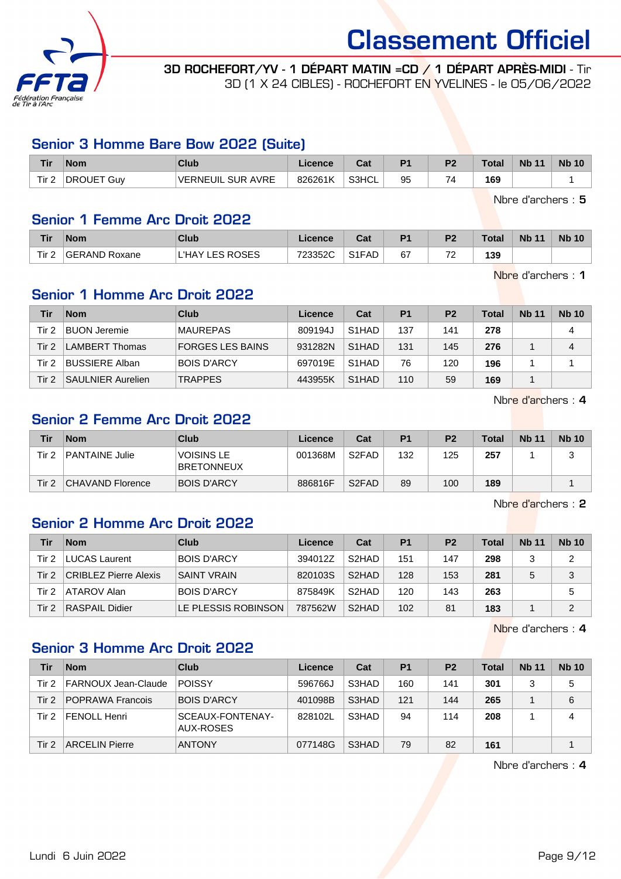

3D ROCHEFORT/YV - 1 DÉPART MATIN =CD / 1 DÉPART APRÈS-MIDI - Tir 3D (1 X 24 CIBLES) - ROCHEFORT EN YVELINES - le 05/06/2022

#### Senior 3 Homme Bare Bow 2022 (Suite)

| <b>Tir</b> | <b>Nom</b>            | <b>Club</b>              | Licence | <b>Tak</b><br>⊍a | D <sub>4</sub> | D0 | $\tau$ otal | <b>N<sub>b</sub></b><br>11 | <b>Nb 10</b> |
|------------|-----------------------|--------------------------|---------|------------------|----------------|----|-------------|----------------------------|--------------|
| Tir 2      | <b>DROUET</b><br>∵Guv | <b>VERNEUIL SUR AVRE</b> | 826261K | S3HCL            | 95             |    | 169         |                            |              |

Nbre d'archers : 5

#### Senior 1 Femme Arc Droit 2022

| <b>Tir</b>       | <b>Nom</b>           | Club                   | ∠icence∶ | ่ ^^+<br>udi | P <sub>1</sub> | P <sub>2</sub>                  | <b>Total</b> | <b>Nb 11</b> | <b>Nb 10</b> |
|------------------|----------------------|------------------------|----------|--------------|----------------|---------------------------------|--------------|--------------|--------------|
| Tir <sub>2</sub> | <b>GERAND Roxane</b> | <b>L'HAY LES ROSES</b> | 723352C  | S1FAD        | 67             | $\overline{\phantom{a}}$<br>. . | 139          |              |              |

Nbre d'archers : 1

## Senior 1 Homme Arc Droit 2022

| Tir   | <b>Nom</b>               | Club                    | Licence | Cat                | P <sub>1</sub> | P <sub>2</sub> | <b>Total</b> | <b>Nb 11</b> | <b>Nb 10</b> |
|-------|--------------------------|-------------------------|---------|--------------------|----------------|----------------|--------------|--------------|--------------|
| Tir 2 | <b>BUON Jeremie</b>      | <b>MAUREPAS</b>         | 809194J | S <sub>1</sub> HAD | 137            | 141            | 278          |              | 4            |
| Tir 2 | <b>LAMBERT Thomas</b>    | <b>FORGES LES BAINS</b> | 931282N | S <sub>1</sub> HAD | 131            | 145            | 276          |              | 4            |
| Tir 2 | <b>BUSSIERE Alban</b>    | <b>BOIS D'ARCY</b>      | 697019E | S <sub>1</sub> HAD | 76             | 120            | 196          |              |              |
| Tir 2 | <b>SAULNIER Aurelien</b> | <b>TRAPPES</b>          | 443955K | S <sub>1</sub> HAD | 110            | 59             | 169          |              |              |

Nbre d'archers : 4

### Senior 2 Femme Arc Droit 2022

| Tir   | <b>Nom</b>            | Club                                   | Licence | Cat                            | P <sub>1</sub> | P <sub>2</sub> | Total | <b>Nb 11</b> | <b>Nb 10</b> |
|-------|-----------------------|----------------------------------------|---------|--------------------------------|----------------|----------------|-------|--------------|--------------|
| Tir 2 | <b>PANTAINE Julie</b> | <b>VOISINS LE</b><br><b>BRETONNEUX</b> | 001368M | S <sub>2</sub> FAD             | 132            | 125            | 257   |              | J            |
| Tir 2 | CHAVAND Florence      | <b>BOIS D'ARCY</b>                     | 886816F | S <sub>2</sub> F <sub>AD</sub> | 89             | 100            | 189   |              |              |

Nbre d'archers : 2

## Senior 2 Homme Arc Droit 2022

| Tir   | <b>Nom</b>                   | Club                | Licence | Cat                | P <sub>1</sub> | P <sub>2</sub> | <b>Total</b> | <b>Nb 11</b> | <b>Nb 10</b> |
|-------|------------------------------|---------------------|---------|--------------------|----------------|----------------|--------------|--------------|--------------|
| Tir 2 | <b>LUCAS Laurent</b>         | <b>BOIS D'ARCY</b>  | 394012Z | S <sub>2</sub> HAD | 151            | 147            | 298          |              | 2            |
| Tir 2 | <b>CRIBLEZ Pierre Alexis</b> | <b>SAINT VRAIN</b>  | 820103S | S <sub>2</sub> HAD | 128            | 153            | 281          |              | 3            |
| Tir 2 | ATAROV Alan                  | <b>BOIS D'ARCY</b>  | 875849K | S <sub>2</sub> HAD | 120            | 143            | 263          |              | 5            |
| Tir 2 | RASPAIL Didier               | LE PLESSIS ROBINSON | 787562W | S <sub>2</sub> HAD | 102            | 81             | 183          |              | າ            |

Nbre d'archers : 4

## Senior 3 Homme Arc Droit 2022

| Tir   | <b>Nom</b>              | Club                          | Licence | Cat   | P <sub>1</sub> | P <sub>2</sub> | <b>Total</b> | <b>Nb 11</b> | <b>Nb 10</b> |
|-------|-------------------------|-------------------------------|---------|-------|----------------|----------------|--------------|--------------|--------------|
| Tir 2 | FARNOUX Jean-Claude     | <b>POISSY</b>                 | 596766J | S3HAD | 160            | 141            | 301          |              | 5            |
| Tir 2 | <b>POPRAWA Francois</b> | <b>BOIS D'ARCY</b>            | 401098B | S3HAD | 121            | 144            | 265          |              | 6            |
| Tir 2 | <b>FENOLL Henri</b>     | SCEAUX-FONTENAY-<br>AUX-ROSES | 828102L | S3HAD | 94             | 114            | 208          |              | 4            |
| Tir 2 | <b>ARCELIN Pierre</b>   | <b>ANTONY</b>                 | 077148G | S3HAD | 79             | 82             | 161          |              |              |

Nbre d'archers : 4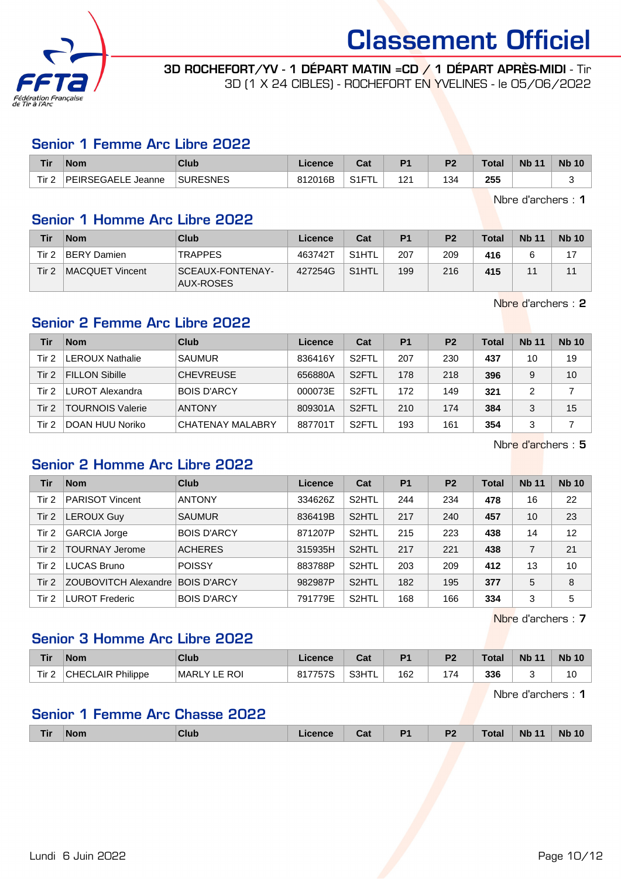

3D ROCHEFORT/YV - 1 DÉPART MATIN =CD / 1 DÉPART APRÈS-MIDI - Tir 3D (1 X 24 CIBLES) - ROCHEFORT EN YVELINES - le 05/06/2022

#### Senior 1 Femme Arc Libre 2022

| Tir              | <b>Nom</b>                      | Club            | Licence | <b>Tak</b><br>cal | D <sub>1</sub>          | D <sub>2</sub> | Total | <b>Nb 11</b> | <b>Nb 10</b> |
|------------------|---------------------------------|-----------------|---------|-------------------|-------------------------|----------------|-------|--------------|--------------|
| Tir <sub>2</sub> | <b>IPFIRSEGAELE</b><br>. Jeanne | <b>SURESNES</b> | 812016B | 0.15<br>1 آ پ     | <u>Оч</u><br>. <u>.</u> | 134            | 255   |              |              |

Nbre d'archers : 1

## Senior 1 Homme Arc Libre 2022

| Tir.  | <b>Nom</b>         | Club                                 | Licence | Cat                | P <sub>1</sub> | P <sub>2</sub> | <b>Total</b> | <b>Nb 11</b> | <b>Nb 10</b> |
|-------|--------------------|--------------------------------------|---------|--------------------|----------------|----------------|--------------|--------------|--------------|
| Tir 2 | <b>BERY Damien</b> | <b>TRAPPES</b>                       | 463742T | S <sub>1</sub> HTL | 207            | 209            | 416          |              |              |
| Tir 2 | MACQUET Vincent    | <b>SCEAUX-FONTENAY-</b><br>AUX-ROSES | 427254G | S <sub>1</sub> HTL | 199            | 216            | 415          |              |              |

Nbre d'archers : 2

## Senior 2 Femme Arc Libre 2022

| Tir   | <b>Nom</b>              | Club               | Licence | Cat                | P <sub>1</sub> | P <sub>2</sub> | Total | <b>Nb 11</b> | <b>Nb 10</b> |
|-------|-------------------------|--------------------|---------|--------------------|----------------|----------------|-------|--------------|--------------|
| Tir 2 | <b>LEROUX Nathalie</b>  | <b>SAUMUR</b>      | 836416Y | S <sub>2</sub> FTL | 207            | 230            | 437   | 10           | 19           |
| Tir 2 | <b>FILLON Sibille</b>   | <b>CHEVREUSE</b>   | 656880A | S <sub>2</sub> FTL | 178            | 218            | 396   | 9            | 10           |
| Tir 2 | LUROT Alexandra         | <b>BOIS D'ARCY</b> | 000073E | S <sub>2</sub> FTL | 172            | 149            | 321   | 2            |              |
| Tir 2 | <b>TOURNOIS Valerie</b> | <b>ANTONY</b>      | 809301A | S <sub>2</sub> FTL | 210            | 174            | 384   | 3            | 15           |
| Tir 2 | DOAN HUU Noriko         | CHATENAY MALABRY   | 887701T | S <sub>2</sub> FTL | 193            | 161            | 354   |              |              |

Nbre d'archers : 5

## Senior 2 Homme Arc Libre 2022

| Tir   | <b>Nom</b>                  | Club               | Licence | Cat                | <b>P1</b> | P <sub>2</sub> | <b>Total</b> | <b>Nb 11</b> | <b>Nb 10</b> |
|-------|-----------------------------|--------------------|---------|--------------------|-----------|----------------|--------------|--------------|--------------|
| Tir 2 | <b>PARISOT Vincent</b>      | <b>ANTONY</b>      | 334626Z | S <sub>2</sub> HTL | 244       | 234            | 478          | 16           | 22           |
| Tir 2 | <b>LEROUX Guy</b>           | <b>SAUMUR</b>      | 836419B | S <sub>2</sub> HTL | 217       | 240            | 457          | 10           | 23           |
| Tir 2 | <b>GARCIA Jorge</b>         | <b>BOIS D'ARCY</b> | 871207P | S <sub>2</sub> HTL | 215       | 223            | 438          | 14           | 12           |
| Tir 2 | <b>TOURNAY Jerome</b>       | <b>ACHERES</b>     | 315935H | S <sub>2</sub> HTL | 217       | 221            | 438          |              | 21           |
| Tir 2 | LUCAS Bruno                 | <b>POISSY</b>      | 883788P | S <sub>2</sub> HTL | 203       | 209            | 412          | 13           | 10           |
| Tir 2 | <b>ZOUBOVITCH Alexandre</b> | <b>BOIS D'ARCY</b> | 982987P | S <sub>2</sub> HTL | 182       | 195            | 377          | 5            | 8            |
| Tir 2 | <b>LUROT Frederic</b>       | <b>BOIS D'ARCY</b> | 791779E | S <sub>2</sub> HTL | 168       | 166            | 334          | 3            | 5            |

Nbre d'archers : 7

### Senior 3 Homme Arc Libre 2022

| Tir   | <b>Nom</b>               | Club                   | ∟icence | ◠؞+<br>vdı. | D <sub>1</sub> | D-      | Total | <b>N<sub>b</sub></b><br>11 | <b>Nb 10</b> |
|-------|--------------------------|------------------------|---------|-------------|----------------|---------|-------|----------------------------|--------------|
| Tir 2 | <b>CHECLAIR Philippe</b> | LE ROI<br><b>MARLY</b> | 817757S | S3HTL       | 162            | .<br>74 | 336   |                            | 10           |

Nbre d'archers : 1

## Senior 1 Femme Arc Chasse 2022

| <b>Tir</b> | <b>Nom</b> | Club | Licence | Cat | D <sub>1</sub> | P <sub>2</sub><br>$\sim$ | <b>Total</b> | <b>Nb 11</b> | <b>Nb 10</b> |
|------------|------------|------|---------|-----|----------------|--------------------------|--------------|--------------|--------------|
|            |            |      |         |     |                |                          |              |              |              |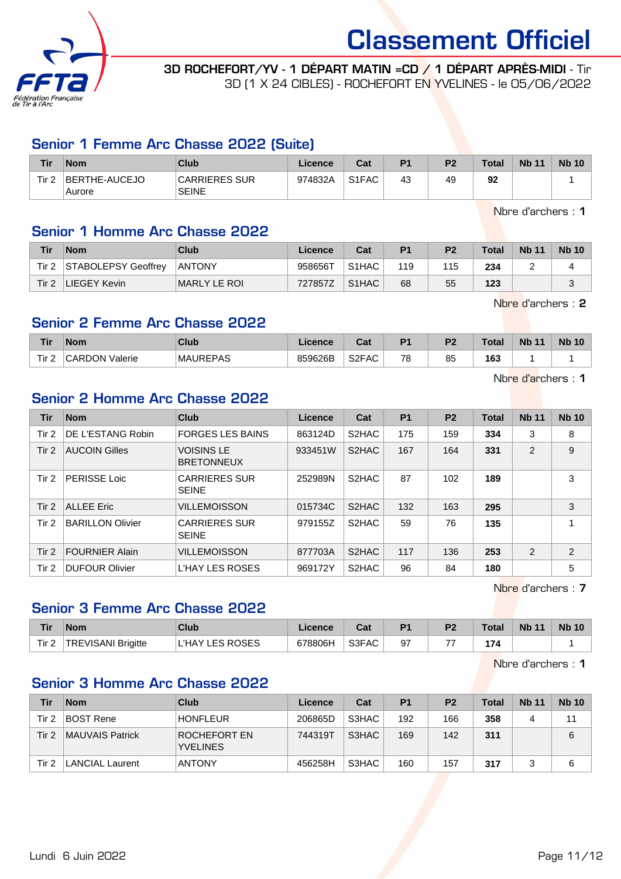

3D ROCHEFORT/YV - 1 DÉPART MATIN =CD / 1 DÉPART APRÈS-MIDI - Tir 3D (1 X 24 CIBLES) - ROCHEFORT EN YVELINES - le 05/06/2022

#### Senior 1 Femme Arc Chasse 2022 (Suite)

| <b>Tir</b>       | <b>Nom</b>              | <b>Club</b>                   | Licence | Cat                            | P <sub>1</sub> | P <sub>2</sub> | Total | <b>Nb 11</b> | <b>Nb 10</b> |
|------------------|-------------------------|-------------------------------|---------|--------------------------------|----------------|----------------|-------|--------------|--------------|
| Tir <sub>2</sub> | BERTHE-AUCEJO<br>Aurore | CARRIERES SUR<br><b>SEINE</b> | 974832A | S <sub>1</sub> F <sub>AC</sub> | 43             | 49             | 92    |              |              |

Nbre d'archers : 1

### Senior 1 Homme Arc Chasse 2022

| Tir   | <b>Nom</b>          | <b>Club</b>   | Licence | Cat                | P <sub>1</sub> | P <sub>2</sub> | <b>Total</b> | <b>Nb 11</b> | <b>Nb 10</b> |
|-------|---------------------|---------------|---------|--------------------|----------------|----------------|--------------|--------------|--------------|
| Tir 2 | STABOLEPSY Geoffrey | <b>ANTONY</b> | 958656T | S <sub>1</sub> HAC | 119            | 115            | 234          |              |              |
| Tir 2 | LIEGEY Kevin        | MARLY LE ROI  | 727857Z | S <sub>1</sub> HAC | 68             | 55             | 123          |              |              |

Nbre d'archers : 2

### Senior 2 Femme Arc Chasse 2022

| Tir              | <b>Nom</b>            | <b>Club</b>     | Licence | $\sim$<br>uai      | D <sub>1</sub> | D <sub>2</sub> | Total | <b>Nb 11</b> | <b>Nb 10</b> |
|------------------|-----------------------|-----------------|---------|--------------------|----------------|----------------|-------|--------------|--------------|
| Tir <sub>2</sub> | <b>CARDON Valerie</b> | <b>MAUREPAS</b> | 859626B | S <sub>2</sub> FAC | 78             | 85             | 163   |              |              |

Nbre d'archers : 1

### Senior 2 Homme Arc Chasse 2022

| Tir   | <b>Nom</b>              | Club                                   | <b>Licence</b> | Cat                | <b>P1</b> | P <sub>2</sub> | <b>Total</b> | <b>Nb 11</b>   | <b>Nb 10</b> |
|-------|-------------------------|----------------------------------------|----------------|--------------------|-----------|----------------|--------------|----------------|--------------|
| Tir 2 | DE L'ESTANG Robin       | <b>FORGES LES BAINS</b>                | 863124D        | S <sub>2</sub> HAC | 175       | 159            | 334          | 3              | 8            |
| Tir 2 | <b>AUCOIN Gilles</b>    | <b>VOISINS LE</b><br><b>BRETONNEUX</b> | 933451W        | S2HAC              | 167       | 164            | 331          | 2              | 9            |
| Tir 2 | <b>PERISSE Loic</b>     | <b>CARRIERES SUR</b><br><b>SEINE</b>   | 252989N        | S <sub>2</sub> HAC | 87        | 102            | 189          |                | 3            |
| Tir 2 | <b>ALLEE Eric</b>       | <b>VILLEMOISSON</b>                    | 015734C        | S <sub>2</sub> HAC | 132       | 163            | 295          |                | 3            |
| Tir 2 | <b>BARILLON Olivier</b> | <b>CARRIERES SUR</b><br><b>SEINE</b>   | 979155Z        | S <sub>2</sub> HAC | 59        | 76             | 135          |                | 4            |
| Tir 2 | <b>FOURNIER Alain</b>   | <b>VILLEMOISSON</b>                    | 877703A        | S2HAC              | 117       | 136            | 253          | $\overline{2}$ | 2            |
| Tir 2 | <b>DUFOUR Olivier</b>   | L'HAY LES ROSES                        | 969172Y        | S <sub>2</sub> HAC | 96        | 84             | 180          |                | 5            |

Nbre d'archers : 7

#### Senior 3 Femme Arc Chasse 2022

| Tir                 | <b>Nom</b>         | Club                      | <b>Licence</b> | <b>DAL</b><br>⊍a | P <sub>1</sub> | P <sub>2</sub> | <b>Total</b> | <b>Nb 11</b> | <b>Nb 10</b> |
|---------------------|--------------------|---------------------------|----------------|------------------|----------------|----------------|--------------|--------------|--------------|
| $T$ ir $2$<br>III ∠ | TREVISANI Brigitte | <b>LES ROSES</b><br>L'HAY | 678806H        | S3FAC            | 97             | --             | 174          |              |              |

Nbre d'archers : 1

## Senior 3 Homme Arc Chasse 2022

| Tir   | <b>Nom</b>      | Club                            | Licence | Cat   | P <sub>1</sub> | P <sub>2</sub> | <b>Total</b> | <b>Nb 11</b> | <b>Nb 10</b> |
|-------|-----------------|---------------------------------|---------|-------|----------------|----------------|--------------|--------------|--------------|
| Tir 2 | BOST Rene       | <b>HONFLEUR</b>                 | 206865D | S3HAC | 192            | 166            | 358          |              | 11           |
| Tir 2 | MAUVAIS Patrick | ROCHEFORT EN<br><b>YVELINES</b> | 744319T | S3HAC | 169            | 142            | 311          |              | 6            |
| Tir 2 | LANCIAL Laurent | <b>ANTONY</b>                   | 456258H | S3HAC | 160            | 157            | 317          |              |              |